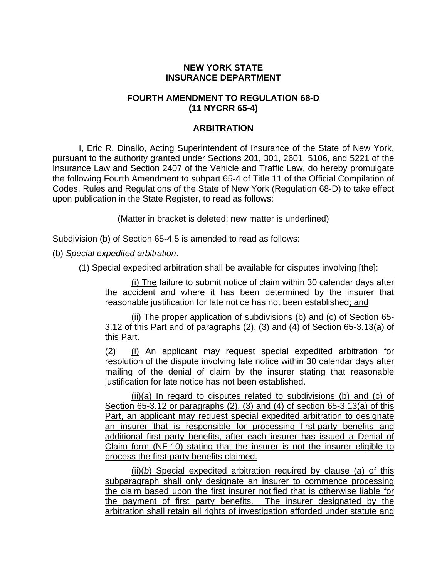## **NEW YORK STATE INSURANCE DEPARTMENT**

## **FOURTH AMENDMENT TO REGULATION 68-D (11 NYCRR 65-4)**

## **ARBITRATION**

I, Eric R. Dinallo, Acting Superintendent of Insurance of the State of New York, pursuant to the authority granted under Sections 201, 301, 2601, 5106, and 5221 of the Insurance Law and Section 2407 of the Vehicle and Traffic Law, do hereby promulgate the following Fourth Amendment to subpart 65-4 of Title 11 of the Official Compilation of Codes, Rules and Regulations of the State of New York (Regulation 68-D) to take effect upon publication in the State Register, to read as follows:

(Matter in bracket is deleted; new matter is underlined)

Subdivision (b) of Section 65-4.5 is amended to read as follows:

(b) *Special expedited arbitration*.

(1) Special expedited arbitration shall be available for disputes involving [the]:

(i) The failure to submit notice of claim within 30 calendar days after the accident and where it has been determined by the insurer that reasonable justification for late notice has not been established; and

(ii) The proper application of subdivisions (b) and (c) of Section 65- 3.12 of this Part and of paragraphs (2), (3) and (4) of Section 65-3.13(a) of this Part.

(2) (i) An applicant may request special expedited arbitration for resolution of the dispute involving late notice within 30 calendar days after mailing of the denial of claim by the insurer stating that reasonable justification for late notice has not been established.

(ii)(*a*) In regard to disputes related to subdivisions (b) and (c) of Section 65-3.12 or paragraphs (2), (3) and (4) of section 65-3.13(a) of this Part, an applicant may request special expedited arbitration to designate an insurer that is responsible for processing first-party benefits and additional first party benefits, after each insurer has issued a Denial of Claim form (NF-10) stating that the insurer is not the insurer eligible to process the first-party benefits claimed.

(ii)(*b*) Special expedited arbitration required by clause (*a*) of this subparagraph shall only designate an insurer to commence processing the claim based upon the first insurer notified that is otherwise liable for the payment of first party benefits. The insurer designated by the arbitration shall retain all rights of investigation afforded under statute and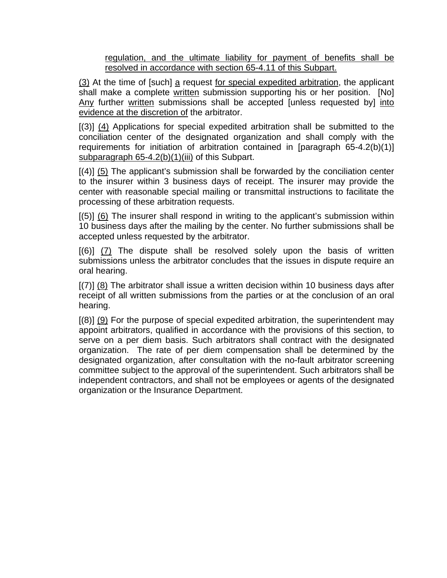regulation, and the ultimate liability for payment of benefits shall be resolved in accordance with section 65-4.11 of this Subpart.

(3) At the time of [such] a request for special expedited arbitration, the applicant shall make a complete written submission supporting his or her position. [No] Any further written submissions shall be accepted [unless requested by] into evidence at the discretion of the arbitrator.

[(3)] (4) Applications for special expedited arbitration shall be submitted to the conciliation center of the designated organization and shall comply with the requirements for initiation of arbitration contained in [paragraph 65-4.2(b)(1)] subparagraph 65-4.2(b)(1)(iii) of this Subpart.

 $[(4)]$  (5) The applicant's submission shall be forwarded by the conciliation center to the insurer within 3 business days of receipt. The insurer may provide the center with reasonable special mailing or transmittal instructions to facilitate the processing of these arbitration requests.

[(5)] (6) The insurer shall respond in writing to the applicant's submission within 10 business days after the mailing by the center. No further submissions shall be accepted unless requested by the arbitrator.

 $[(6)]$   $(7)$  The dispute shall be resolved solely upon the basis of written submissions unless the arbitrator concludes that the issues in dispute require an oral hearing.

[(7)] (8) The arbitrator shall issue a written decision within 10 business days after receipt of all written submissions from the parties or at the conclusion of an oral hearing.

 $[(8)]$  (9) For the purpose of special expedited arbitration, the superintendent may appoint arbitrators, qualified in accordance with the provisions of this section, to serve on a per diem basis. Such arbitrators shall contract with the designated organization. The rate of per diem compensation shall be determined by the designated organization, after consultation with the no-fault arbitrator screening committee subject to the approval of the superintendent. Such arbitrators shall be independent contractors, and shall not be employees or agents of the designated organization or the Insurance Department.